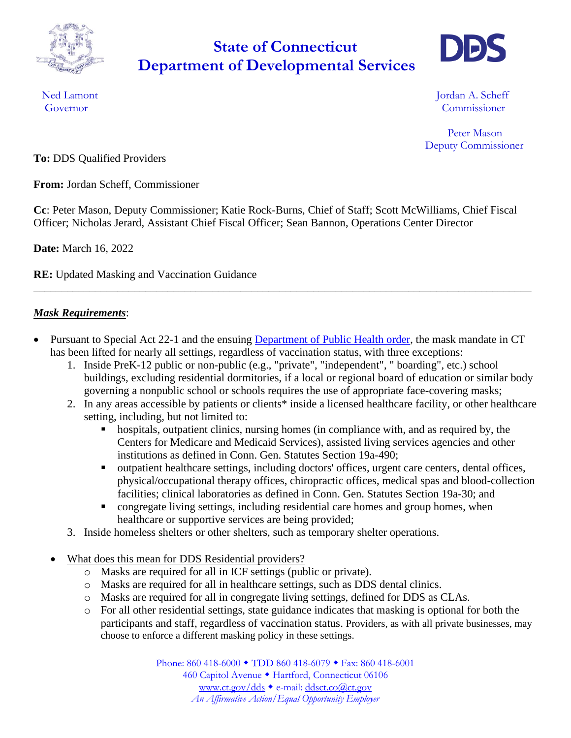

## **Department of Developmental Services State of Connecticut**



Ned Lamont **International Contract Contract Contract Contract Contract Contract Contract Contract Contract Contract Contract Contract Contract Contract Contract Contract Contract Contract Contract Contract Contract Contrac** Governor Commissioner

> Peter Mason Deputy Commissioner

**To:** DDS Qualified Providers

**From:** Jordan Scheff, Commissioner

**Cc**: Peter Mason, Deputy Commissioner; Katie Rock-Burns, Chief of Staff; Scott McWilliams, Chief Fiscal Officer; Nicholas Jerard, Assistant Chief Fiscal Officer; Sean Bannon, Operations Center Director

**Date:** March 16, 2022

**RE:** Updated Masking and Vaccination Guidance

## *Mask Requirements*:

• Pursuant to Special Act 22-1 and the ensuing [Department of Public Health order,](https://portal.ct.gov/-/media/Coronavirus/20220223-Order-regarding-conditions-and-environments-that-require-universal-masking.pdf) the mask mandate in CT has been lifted for nearly all settings, regardless of vaccination status, with three exceptions:

\_\_\_\_\_\_\_\_\_\_\_\_\_\_\_\_\_\_\_\_\_\_\_\_\_\_\_\_\_\_\_\_\_\_\_\_\_\_\_\_\_\_\_\_\_\_\_\_\_\_\_\_\_\_\_\_\_\_\_\_\_\_\_\_\_\_\_\_\_\_\_\_\_\_\_\_\_\_\_\_\_\_\_\_\_\_\_\_\_

- 1. Inside PreK-12 public or non-public (e.g., "private", "independent", " boarding", etc.) school buildings, excluding residential dormitories, if a local or regional board of education or similar body governing a nonpublic school or schools requires the use of appropriate face-covering masks;
- 2. In any areas accessible by patients or clients\* inside a licensed healthcare facility, or other healthcare setting, including, but not limited to:
	- hospitals, outpatient clinics, nursing homes (in compliance with, and as required by, the Centers for Medicare and Medicaid Services), assisted living services agencies and other institutions as defined in Conn. Gen. Statutes Section 19a-490;
	- outpatient healthcare settings, including doctors' offices, urgent care centers, dental offices, physical/occupational therapy offices, chiropractic offices, medical spas and blood-collection facilities; clinical laboratories as defined in Conn. Gen. Statutes Section 19a-30; and
	- congregate living settings, including residential care homes and group homes, when healthcare or supportive services are being provided;
- 3. Inside homeless shelters or other shelters, such as temporary shelter operations.
- What does this mean for DDS Residential providers?
	- o Masks are required for all in ICF settings (public or private).
	- o Masks are required for all in healthcare settings, such as DDS dental clinics.
	- o Masks are required for all in congregate living settings, defined for DDS as CLAs.
	- o For all other residential settings, state guidance indicates that masking is optional for both the participants and staff, regardless of vaccination status. Providers, as with all private businesses, may choose to enforce a different masking policy in these settings.

Phone: 860 418-6000 ◆ TDD 860 418-6079 ◆ Fax: 860 418-6001 460 Capitol Avenue · Hartford, Connecticut 06106 [www.ct.gov/dds](http://www.ct.gov/dds) e-mail: [ddsct.co@ct.gov](mailto:ddsct.co@ct.gov) *An Affirmative Action/Equal Opportunity Employer*